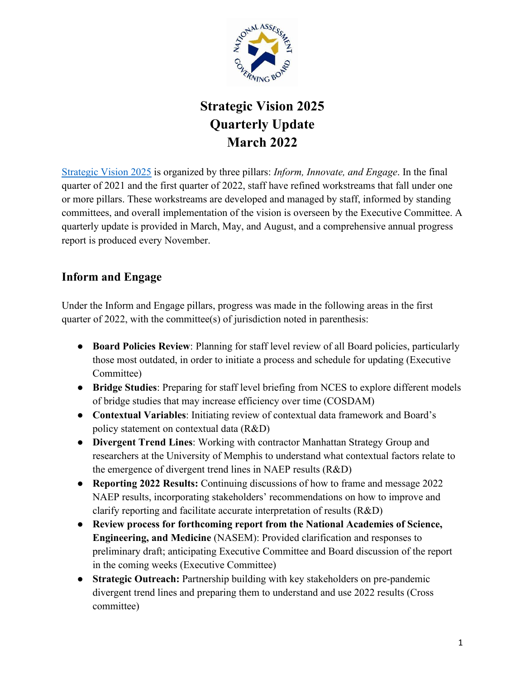

## **Strategic Vision 2025 Quarterly Update March 2022**

[Strategic Vision 2025](https://www.nagb.gov/content/dam/nagb/en/documents/who-we-are/2020_NAGB-Strategic-Vision_FINAL.pdf) is organized by three pillars: *Inform, Innovate, and Engage*. In the final quarter of 2021 and the first quarter of 2022, staff have refined workstreams that fall under one or more pillars. These workstreams are developed and managed by staff, informed by standing committees, and overall implementation of the vision is overseen by the Executive Committee. A quarterly update is provided in March, May, and August, and a comprehensive annual progress report is produced every November.

## **Inform and Engage**

Under the Inform and Engage pillars, progress was made in the following areas in the first quarter of 2022, with the committee(s) of jurisdiction noted in parenthesis:

- **Board Policies Review**: Planning for staff level review of all Board policies, particularly those most outdated, in order to initiate a process and schedule for updating (Executive Committee)
- **Bridge Studies**: Preparing for staff level briefing from NCES to explore different models of bridge studies that may increase efficiency over time (COSDAM)
- **Contextual Variables**: Initiating review of contextual data framework and Board's policy statement on contextual data (R&D)
- **Divergent Trend Lines**: Working with contractor Manhattan Strategy Group and researchers at the University of Memphis to understand what contextual factors relate to the emergence of divergent trend lines in NAEP results (R&D)
- **Reporting 2022 Results:** Continuing discussions of how to frame and message 2022 NAEP results, incorporating stakeholders' recommendations on how to improve and clarify reporting and facilitate accurate interpretation of results (R&D)
- **Review process for forthcoming report from the National Academies of Science, Engineering, and Medicine** (NASEM): Provided clarification and responses to preliminary draft; anticipating Executive Committee and Board discussion of the report in the coming weeks (Executive Committee)
- **Strategic Outreach:** Partnership building with key stakeholders on pre-pandemic divergent trend lines and preparing them to understand and use 2022 results (Cross committee)